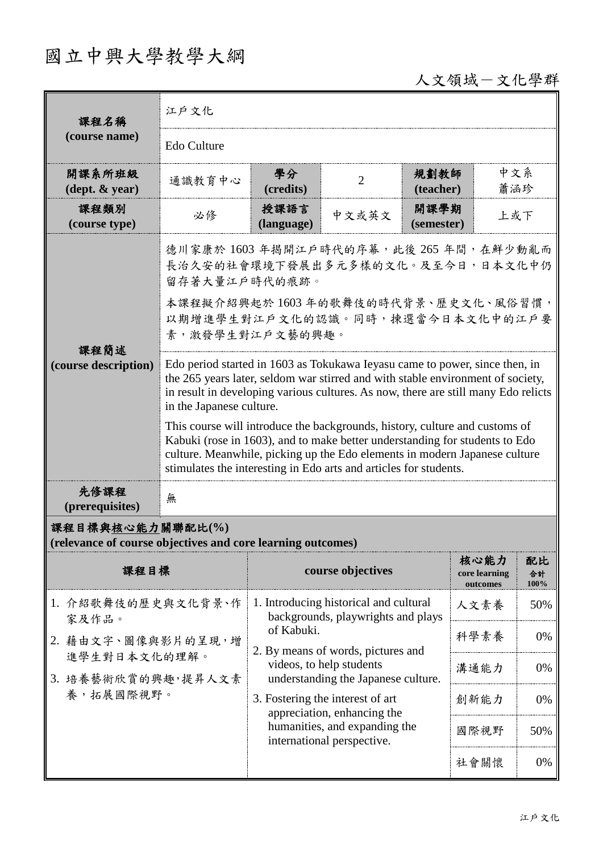## 國立中興大學教學大綱

 $\mathbf{r}$ 

# 人文領域一文化學群

| 課程名稱                                                                            | 江户文化                                                                                                                                                                                                                                                                                                          |                                                                                                                                  |                                                                 |                    |                                   |                  |  |
|---------------------------------------------------------------------------------|---------------------------------------------------------------------------------------------------------------------------------------------------------------------------------------------------------------------------------------------------------------------------------------------------------------|----------------------------------------------------------------------------------------------------------------------------------|-----------------------------------------------------------------|--------------------|-----------------------------------|------------------|--|
| (course name)                                                                   | Edo Culture                                                                                                                                                                                                                                                                                                   |                                                                                                                                  |                                                                 |                    |                                   |                  |  |
| 開課系所班級<br>$(\text{dept.} \& \text{ year})$                                      | 通識教育中心                                                                                                                                                                                                                                                                                                        | 學分<br>(credits)                                                                                                                  | $\overline{2}$                                                  | 規劃教師<br>(teacher)  | 中文系<br>蕭涵珍                        |                  |  |
| 課程類別<br>(course type)                                                           | 必修                                                                                                                                                                                                                                                                                                            | 授課語言<br>(language)                                                                                                               | 中文或英文                                                           | 開課學期<br>(semester) | 上或下                               |                  |  |
|                                                                                 | 德川家康於 1603 年揭開江戶時代的序幕, 此後 265 年間, 在鮮少動亂而<br>長治久安的社會環境下發展出多元多樣的文化。及至今日,日本文化中仍<br>留存著大量江戶時代的痕跡。                                                                                                                                                                                                                 |                                                                                                                                  |                                                                 |                    |                                   |                  |  |
| 課程簡述                                                                            | 本課程擬介紹興起於1603年的歌舞伎的時代背景、歷史文化、風俗習慣,<br>以期增進學生對江戶文化的認識。同時,揀選當今日本文化中的江戶要<br>素,激發學生對江戶文藝的興趣。                                                                                                                                                                                                                      |                                                                                                                                  |                                                                 |                    |                                   |                  |  |
| (course description)                                                            | Edo period started in 1603 as Tokukawa Ieyasu came to power, since then, in<br>the 265 years later, seldom war stirred and with stable environment of society,<br>in result in developing various cultures. As now, there are still many Edo relicts<br>in the Japanese culture.                              |                                                                                                                                  |                                                                 |                    |                                   |                  |  |
|                                                                                 | This course will introduce the backgrounds, history, culture and customs of<br>Kabuki (rose in 1603), and to make better understanding for students to Edo<br>culture. Meanwhile, picking up the Edo elements in modern Japanese culture<br>stimulates the interesting in Edo arts and articles for students. |                                                                                                                                  |                                                                 |                    |                                   |                  |  |
| 先修課程<br>(prerequisites)                                                         | 無                                                                                                                                                                                                                                                                                                             |                                                                                                                                  |                                                                 |                    |                                   |                  |  |
| 課程目標與核心能力關聯配比(%)<br>(relevance of course objectives and core learning outcomes) |                                                                                                                                                                                                                                                                                                               |                                                                                                                                  |                                                                 |                    |                                   |                  |  |
| 課程目標                                                                            |                                                                                                                                                                                                                                                                                                               |                                                                                                                                  | course objectives                                               |                    | 核心能力<br>core learning<br>outcomes | 配比<br>合計<br>100% |  |
| 1. 介紹歌舞伎的歷史與文化背景、作<br>家及作品。<br>2. 藉由文字、圖像與影片的呈現,增<br>進學生對日本文化的理解。               |                                                                                                                                                                                                                                                                                                               | 1. Introducing historical and cultural<br>backgrounds, playwrights and plays<br>of Kabuki.<br>2. By means of words, pictures and |                                                                 |                    | 人文素養                              | 50%              |  |
|                                                                                 |                                                                                                                                                                                                                                                                                                               |                                                                                                                                  |                                                                 |                    | 科學素養                              | 0%               |  |
| 3. 培養藝術欣賞的興趣,提昇人文素<br>養,拓展國際視野。                                                 |                                                                                                                                                                                                                                                                                                               |                                                                                                                                  | videos, to help students<br>understanding the Japanese culture. |                    | 溝通能力                              | 0%               |  |
|                                                                                 |                                                                                                                                                                                                                                                                                                               | 3. Fostering the interest of art<br>appreciation, enhancing the                                                                  |                                                                 | 創新能力               | 0%                                |                  |  |
|                                                                                 |                                                                                                                                                                                                                                                                                                               | humanities, and expanding the<br>international perspective.                                                                      |                                                                 |                    | 國際視野                              | 50%              |  |
|                                                                                 |                                                                                                                                                                                                                                                                                                               |                                                                                                                                  |                                                                 |                    | 社會關懷                              | 0%               |  |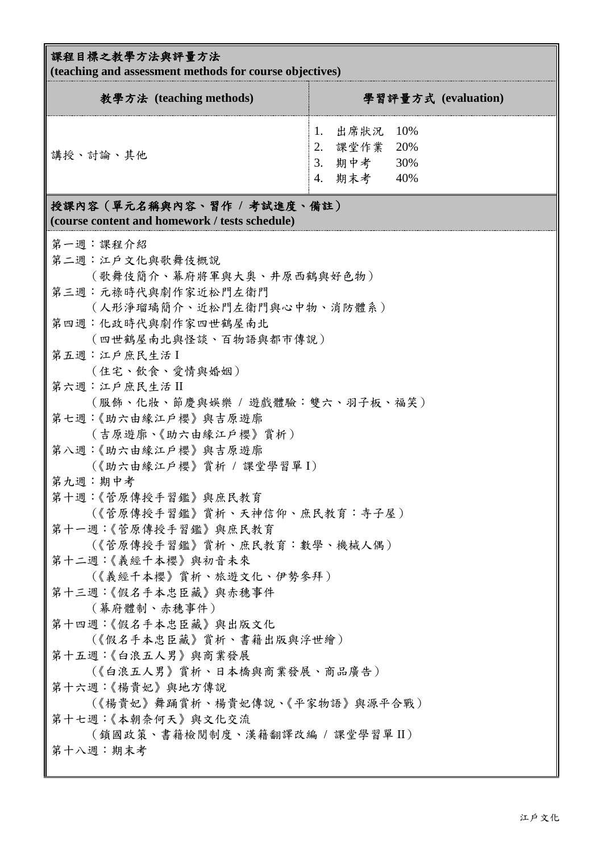### 課程目標之教學方法與評量方法

**(teaching and assessment methods for course objectives)**

| 教學方法 (teaching methods)                                                      | 學習評量方式 (evaluation)                                          |  |  |  |  |
|------------------------------------------------------------------------------|--------------------------------------------------------------|--|--|--|--|
| 講授、討論、其他                                                                     | 出席狀況 10%<br>課堂作業 20%<br>2.<br>期中考<br>30%<br>3.<br>期末考<br>40% |  |  |  |  |
| 授課內容(單元名稱與內容、習作 / 考試進度、備註)<br>(course content and homework / tests schedule) |                                                              |  |  |  |  |

| 第一週:課程介紹                        |
|---------------------------------|
| 第二週:江戶文化與歌舞伎概說                  |
| (歌舞伎簡介、幕府將軍與大奧、井原西鶴與好色物)        |
| 第三週:元祿時代與劇作家近松門左衛門              |
| (人形淨瑠璃簡介、近松門左衛門與心中物、消防體系)       |
| 第四週:化政時代與劇作家四世鶴屋南北              |
| (四世鶴屋南北與怪談、百物語與都市傳說)            |
| 第五週:江戶庶民生活I                     |
| (住宅、飲食、愛情與婚姻)                   |
| 第六週:江戶庶民生活II                    |
| (服飾、化妝、節慶與娛樂 / 遊戲體驗:雙六、羽子板、福笑)  |
| 第七週:《助六由緣江戶櫻》與吉原遊廓              |
| (吉原遊廓、《助六由緣江戶櫻》賞析)              |
| 第八週:《助六由緣江戶櫻》與吉原遊廓              |
| (《助六由緣江戶櫻》賞析 / 課堂學習單I)          |
| 第九週:期中考                         |
| 第十週:《管原傳授手習鑑》與庶民教育              |
| (《菅原傳授手習鑑》賞析、天神信仰、庶民教育:寺子屋)     |
| 第十一週:《管原傳授手習鑑》與庶民教育             |
| (《菅原傳授手習鑑》賞析、庶民教育:數學、機械人偶)      |
| 第十二週:《義經千本櫻》與初音未來               |
| (《義經千本櫻》賞析、旅遊文化、伊勢參拜)           |
| 第十三週:《假名手本忠臣藏》與赤穗事件             |
| (幕府體制、赤穗事件)                     |
| 第十四週:《假名手本忠臣藏》與出版文化             |
| (《假名手本忠臣藏》賞析、書籍出版與浮世繪)          |
| 第十五週:《白浪五人男》與商業發展               |
| (《白浪五人男》賞析、日本橋與商業發展、商品廣告)       |
| 第十六週:《楊貴妃》與地方傳說                 |
| (《楊貴妃》舞踊賞析、楊貴妃傳說、《平家物語》與源平合戰)   |
| 第十七週:《本朝奈何天》與文化交流               |
| (鎖國政策、書籍檢閱制度、漢籍翻譯改編 / 課堂學習單 II) |
| 第十八週:期末考                        |